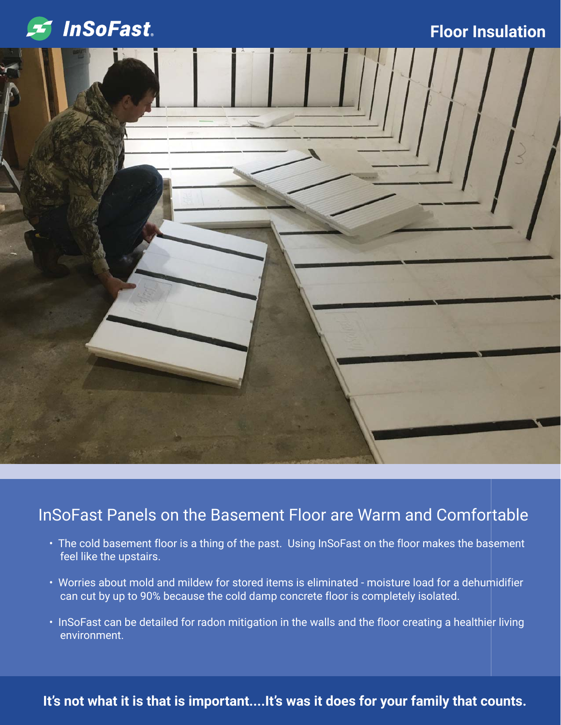

#### **Floor Insulation**



### InSoFast Panels on the Basement Floor are Warm and Comfortable

- The cold basement floor is a thing of the past. Using InSoFast on the floor makes the basement feel like the upstairs.
- Worries about mold and mildew for stored items is eliminated moisture load for a dehumidifier can cut by up to 90% because the cold damp concrete floor is completely isolated.
- InSoFast can be detailed for radon mitigation in the walls and the floor creating a healthier living environment.

#### **It's not what it is that is important....It's was it does for your family that counts.**